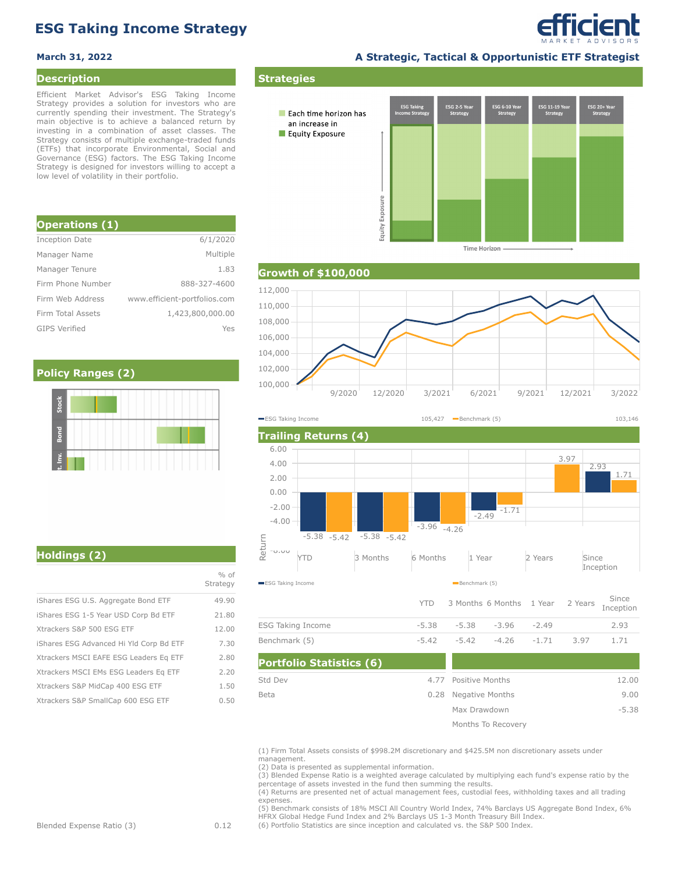# **ESG Taking Income Strategy**

### **Description**

Efficient Market Advisor's ESG Taking Income Strategy provides a solution for investors who are currently spending their investment. The Strategy's main objective is to achieve a balanced return by investing in a combination of asset classes. The Strategy consists of multiple exchange-traded funds (ETFs) that incorporate Environmental, Social and Governance (ESG) factors. The ESG Taking Income Strategy is designed for investors willing to accept a low level of volatility in their portfolio.

| <b>Operations (1)</b> |                              |
|-----------------------|------------------------------|
| <b>Inception Date</b> | 6/1/2020                     |
| Manager Name          | Multiple                     |
| Manager Tenure        | 1.83                         |
| Firm Phone Number     | 888-327-4600                 |
| Firm Web Address      | www.efficient-portfolios.com |
| Firm Total Assets     | 1,423,800,000.00             |
| <b>GIPS Verified</b>  | Yes                          |

### **Policy Ranges (2)**

**March 31, 2022 A Strategic, Tactical & Opportunistic ETF Strategist**

*efficient* 

ESG 11-19 Ye **ESG Taking**  $ESG$  2-5 Yea SG 6-10 Ye ESG 20+ Ye Each time horizon has Equity Exposure Exposure Equity

**Time Horizon** 



**Strategies**

an increase in





|                                         | $%$ of<br>Strategy |
|-----------------------------------------|--------------------|
| iShares ESG U.S. Aggregate Bond ETF     | 49.90              |
| iShares ESG 1-5 Year USD Corp Bd ETF    | 21.80              |
| Xtrackers S&P 500 ESG ETF               | 12.00              |
| iShares ESG Advanced Hi Yld Corp Bd ETF | 7.30               |
| Xtrackers MSCI EAFE ESG Leaders Eq ETF  | 2.80               |
| Xtrackers MSCI EMs ESG Leaders Eq ETF   | 2.20               |
| Xtrackers S&P MidCap 400 ESG ETF        | 1.50               |
| Xtrackers S&P SmallCap 600 ESG ETF      | 0.50               |

## **Holdings (2)**

| (1) Firm Total Assets consists of \$998.2M discretionary and \$425.5M non discretionary assets under |
|------------------------------------------------------------------------------------------------------|
| management.                                                                                          |
| (2) Data is presented as supplemental information.                                                   |

4.77

0.28 Negative Months Positive Months

> Max Drawdown Months To Recovery

-5.42 -5.42 -4.26 -1.71 3.97 1.71

12.00 9.00 -5.38

**Portfolio Statistics (6)**

(2) Data is presented as supplemental information.<br>(3) Blended Expense Ratio is a weighted average calculated by multiplying each fund's expense ratio by the<br>percentage of assets invested in the fund then summing the resul

(4) Returns are presented net of actual management fees, custodial fees, withholding taxes and all trading expenses.

(5) Benchmark consists of 18% MSCI All Country World Index, 74% Barclays US Aggregate Bond Index, 6% HFRX Global Hedge Fund Index and 2% Barclays US 1-3 Month Treasury Bill Index.

(6) Portfolio Statistics are since inception and calculated vs. the S&P 500 Index.

Blended Expense Ratio (3) 0.12

Std Dev Beta

Benchmark (5)